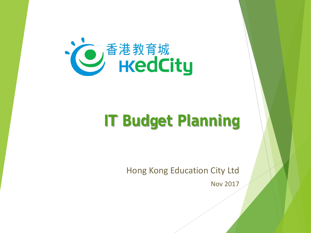

#### **IT Budget Planning**

Hong Kong Education City Ltd

Nov 2017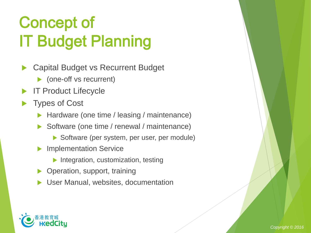# Concept of IT Budget Planning

- Capital Budget vs Recurrent Budget
	- ▶ (one-off vs recurrent)
- IT Product Lifecycle
- Types of Cost
	- Hardware (one time / leasing / maintenance)
	- Software (one time / renewal / maintenance)
		- Software (per system, per user, per module)
	- Implementation Service
		- $\blacktriangleright$  Integration, customization, testing
	- ▶ Operation, support, training
	- User Manual, websites, documentation

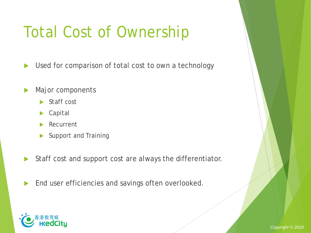## Total Cost of Ownership

▶ Used for comparison of total cost to own a technology

- Major components
	- $\blacktriangleright$  Staff cost
	- Capital
	- Recurrent
	- Support and Training
- Staff cost and support cost are always the differentiator.
- **End user efficiencies and savings often overlooked.**



*Copyright © 2016*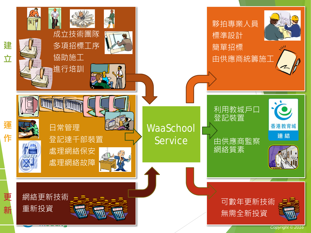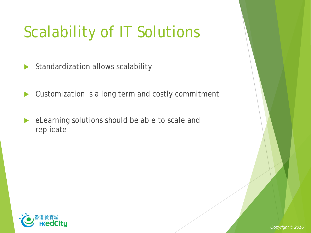## Scalability of IT Solutions

 $\triangleright$  Standardization allows scalability

Customization is a long term and costly commitment

 eLearning solutions should be able to scale and replicate

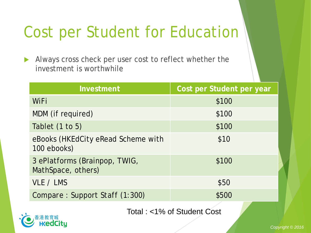### Cost per Student for Education

Always cross check per user cost to reflect whether the investment is worthwhile

| Investment                                          | Cost per Student per year |
|-----------------------------------------------------|---------------------------|
| WiFi                                                | \$100                     |
| MDM (if required)                                   | \$100                     |
| Tablet (1 to 5)                                     | \$100                     |
| eBooks (HKEdCity eRead Scheme with<br>100 ebooks)   | \$10                      |
| 3 ePlatforms (Brainpop, TWIG,<br>MathSpace, others) | \$100                     |
| VLE / LMS                                           | \$50                      |
| Compare: Support Staff (1:300)                      | \$500                     |
|                                                     |                           |

Total : <1% of Student Cost

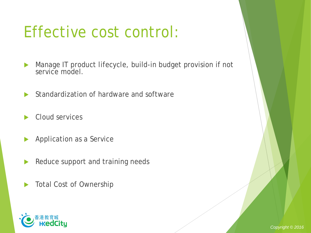#### Effective cost control:

- Manage IT product lifecycle, build-in budget provision if not service model.
- Standardization of hardware and software
- Cloud services
- **Application as a Service**
- Reduce support and training needs
- **Total Cost of Ownership**